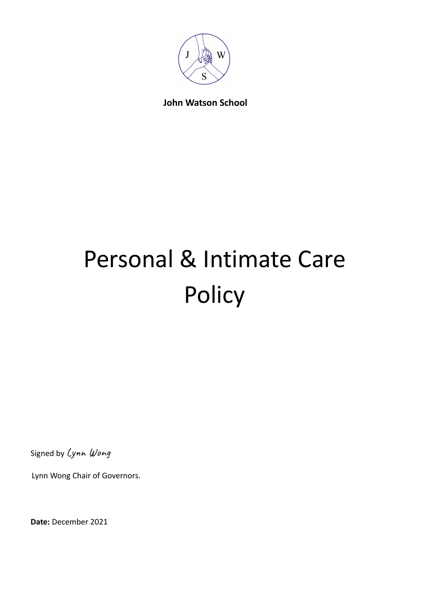

# **John Watson School**

# Personal & Intimate Care **Policy**

Signed by Lynn Wong

Lynn Wong Chair of Governors.

**Date:** December 2021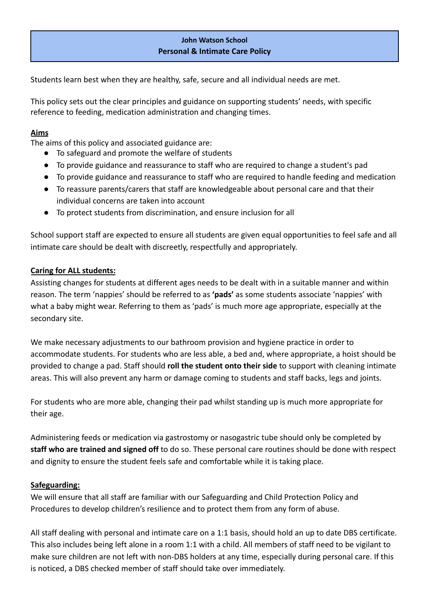# **John Watson School Personal & Intimate Care Policy**

Students learn best when they are healthy, safe, secure and all individual needs are met.

This policy sets out the clear principles and guidance on supporting students' needs, with specific reference to feeding, medication administration and changing times.

#### **Aims**

The aims of this policy and associated guidance are:

- To safeguard and promote the welfare of students
- To provide guidance and reassurance to staff who are required to change a student's pad
- To provide guidance and reassurance to staff who are required to handle feeding and medication
- To reassure parents/carers that staff are knowledgeable about personal care and that their individual concerns are taken into account
- To protect students from discrimination, and ensure inclusion for all

School support staff are expected to ensure all students are given equal opportunities to feel safe and all intimate care should be dealt with discreetly, respectfully and appropriately.

#### **Caring for ALL students:**

Assisting changes for students at different ages needs to be dealt with in a suitable manner and within reason. The term 'nappies' should be referred to as **'pads'** as some students associate 'nappies' with what a baby might wear. Referring to them as 'pads' is much more age appropriate, especially at the secondary site.

We make necessary adjustments to our bathroom provision and hygiene practice in order to accommodate students. For students who are less able, a bed and, where appropriate, a hoist should be provided to change a pad. Staff should **roll the student onto their side** to support with cleaning intimate areas. This will also prevent any harm or damage coming to students and staff backs, legs and joints.

For students who are more able, changing their pad whilst standing up is much more appropriate for their age.

Administering feeds or medication via gastrostomy or nasogastric tube should only be completed by **staff who are trained and signed off** to do so. These personal care routines should be done with respect and dignity to ensure the student feels safe and comfortable while it is taking place.

#### **Safeguarding:**

We will ensure that all staff are familiar with our Safeguarding and Child Protection Policy and Procedures to develop children's resilience and to protect them from any form of abuse.

All staff dealing with personal and intimate care on a 1:1 basis, should hold an up to date DBS certificate. This also includes being left alone in a room 1:1 with a child. All members of staff need to be vigilant to make sure children are not left with non-DBS holders at any time, especially during personal care. If this is noticed, a DBS checked member of staff should take over immediately.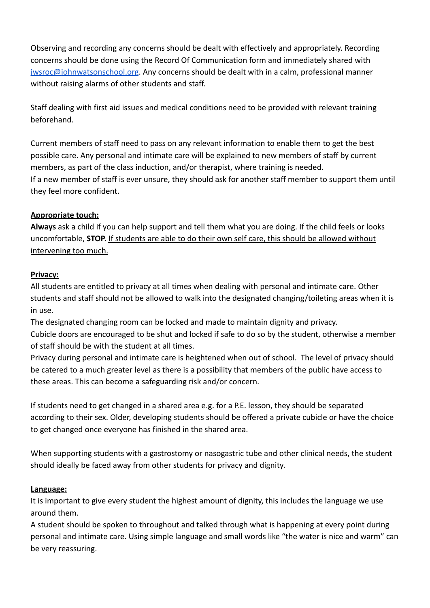Observing and recording any concerns should be dealt with effectively and appropriately. Recording concerns should be done using the Record Of Communication form and immediately shared with [jwsroc@johnwatsonschool.org](mailto:jwsroc@johnwatsonschool.org). Any concerns should be dealt with in a calm, professional manner without raising alarms of other students and staff.

Staff dealing with first aid issues and medical conditions need to be provided with relevant training beforehand.

Current members of staff need to pass on any relevant information to enable them to get the best possible care. Any personal and intimate care will be explained to new members of staff by current members, as part of the class induction, and/or therapist, where training is needed. If a new member of staff is ever unsure, they should ask for another staff member to support them until they feel more confident.

## **Appropriate touch:**

**Always** ask a child if you can help support and tell them what you are doing. If the child feels or looks uncomfortable, **STOP.** If students are able to do their own self care, this should be allowed without intervening too much.

#### **Privacy:**

All students are entitled to privacy at all times when dealing with personal and intimate care. Other students and staff should not be allowed to walk into the designated changing/toileting areas when it is in use.

The designated changing room can be locked and made to maintain dignity and privacy. Cubicle doors are encouraged to be shut and locked if safe to do so by the student, otherwise a member of staff should be with the student at all times.

Privacy during personal and intimate care is heightened when out of school. The level of privacy should be catered to a much greater level as there is a possibility that members of the public have access to these areas. This can become a safeguarding risk and/or concern.

If students need to get changed in a shared area e.g. for a P.E. lesson, they should be separated according to their sex. Older, developing students should be offered a private cubicle or have the choice to get changed once everyone has finished in the shared area.

When supporting students with a gastrostomy or nasogastric tube and other clinical needs, the student should ideally be faced away from other students for privacy and dignity.

#### **Language:**

It is important to give every student the highest amount of dignity, this includes the language we use around them.

A student should be spoken to throughout and talked through what is happening at every point during personal and intimate care. Using simple language and small words like "the water is nice and warm" can be very reassuring.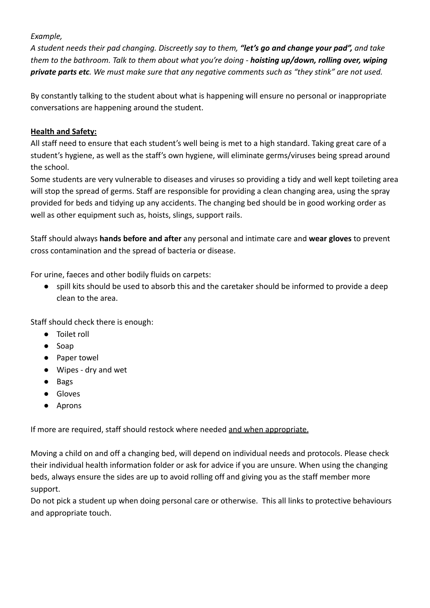#### *Example,*

*A student needs their pad changing. Discreetly say to them, "let's go and change your pad", and take them to the bathroom. Talk to them about what you're doing - hoisting up/down, rolling over, wiping private parts etc. We must make sure that any negative comments such as "they stink" are not used.*

By constantly talking to the student about what is happening will ensure no personal or inappropriate conversations are happening around the student.

## **Health and Safety:**

All staff need to ensure that each student's well being is met to a high standard. Taking great care of a student's hygiene, as well as the staff's own hygiene, will eliminate germs/viruses being spread around the school.

Some students are very vulnerable to diseases and viruses so providing a tidy and well kept toileting area will stop the spread of germs. Staff are responsible for providing a clean changing area, using the spray provided for beds and tidying up any accidents. The changing bed should be in good working order as well as other equipment such as, hoists, slings, support rails.

Staff should always **hands before and after** any personal and intimate care and **wear gloves** to prevent cross contamination and the spread of bacteria or disease.

For urine, faeces and other bodily fluids on carpets:

● spill kits should be used to absorb this and the caretaker should be informed to provide a deep clean to the area.

Staff should check there is enough:

- Toilet roll
- Soap
- Paper towel
- Wipes dry and wet
- Bags
- Gloves
- Aprons

If more are required, staff should restock where needed and when appropriate.

Moving a child on and off a changing bed, will depend on individual needs and protocols. Please check their individual health information folder or ask for advice if you are unsure. When using the changing beds, always ensure the sides are up to avoid rolling off and giving you as the staff member more support.

Do not pick a student up when doing personal care or otherwise. This all links to protective behaviours and appropriate touch.